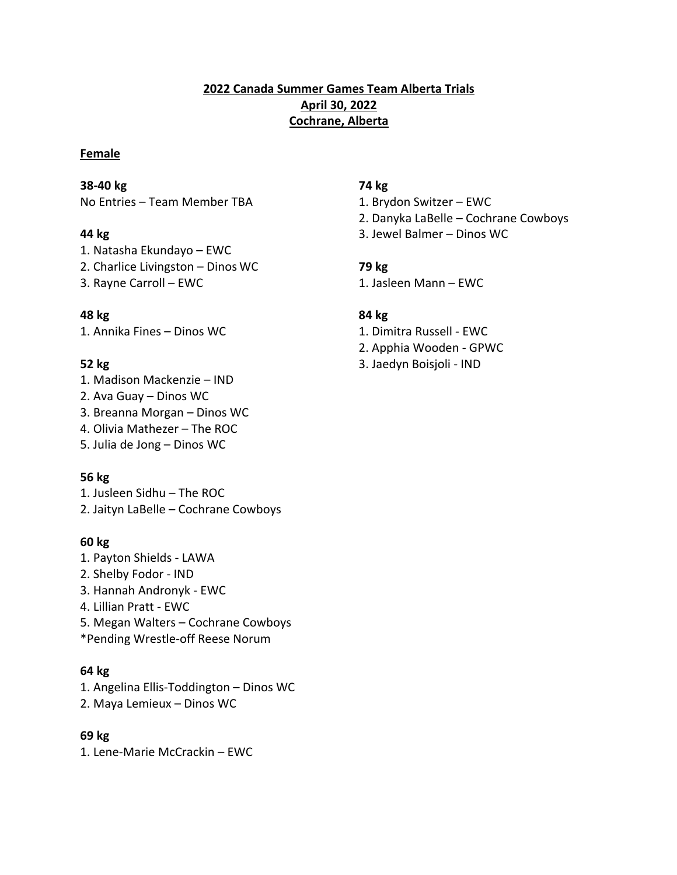# **2022 Canada Summer Games Team Alberta Trials April 30, 2022 Cochrane, Alberta**

## **Female**

## **38-40 kg 74 kg**

No Entries – Team Member TBA 1. Brydon Switzer – EWC

- 1. Natasha Ekundayo EWC
- 2. Charlice Livingston Dinos WC **79 kg**
- 

# **48 kg 84 kg**

1. Annika Fines – Dinos WC 1. Dimitra Russell - EWC

- 1. Madison Mackenzie IND
- 2. Ava Guay Dinos WC
- 3. Breanna Morgan Dinos WC
- 4. Olivia Mathezer The ROC
- 5. Julia de Jong Dinos WC

# **56 kg**

1. Jusleen Sidhu – The ROC 2. Jaityn LaBelle – Cochrane Cowboys

# **60 kg**

- 1. Payton Shields LAWA
- 2. Shelby Fodor IND
- 3. Hannah Andronyk EWC
- 4. Lillian Pratt EWC
- 5. Megan Walters Cochrane Cowboys
- \*Pending Wrestle-off Reese Norum

# **64 kg**

- 1. Angelina Ellis-Toddington Dinos WC
- 2. Maya Lemieux Dinos WC

# **69 kg**

1. Lene-Marie McCrackin – EWC

- 
- 2. Danyka LaBelle Cochrane Cowboys
- **44 kg** 3. Jewel Balmer Dinos WC

3. Rayne Carroll – EWC 1. Jasleen Mann – EWC

- 
- 2. Apphia Wooden GPWC
- **52 kg** 3. Jaedyn Boisjoli IND